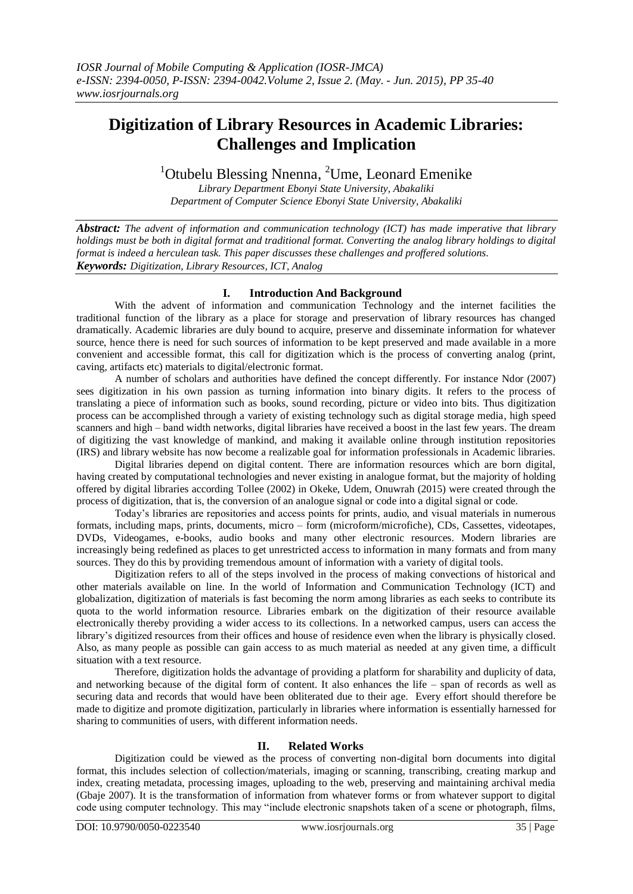# **Digitization of Library Resources in Academic Libraries: Challenges and Implication**

<sup>1</sup>Otubelu Blessing Nnenna, <sup>2</sup>Ume, Leonard Emenike

*Library Department Ebonyi State University, Abakaliki Department of Computer Science Ebonyi State University, Abakaliki*

*Abstract: The advent of information and communication technology (ICT) has made imperative that library holdings must be both in digital format and traditional format. Converting the analog library holdings to digital format is indeed a herculean task. This paper discusses these challenges and proffered solutions. Keywords: Digitization, Library Resources, ICT, Analog*

## **I. Introduction And Background**

With the advent of information and communication Technology and the internet facilities the traditional function of the library as a place for storage and preservation of library resources has changed dramatically. Academic libraries are duly bound to acquire, preserve and disseminate information for whatever source, hence there is need for such sources of information to be kept preserved and made available in a more convenient and accessible format, this call for digitization which is the process of converting analog (print, caving, artifacts etc) materials to digital/electronic format.

A number of scholars and authorities have defined the concept differently. For instance Ndor (2007) sees digitization in his own passion as turning information into binary digits. It refers to the process of translating a piece of information such as books, sound recording, picture or video into bits. Thus digitization process can be accomplished through a variety of existing technology such as digital storage media, high speed scanners and high – band width networks, digital libraries have received a boost in the last few years. The dream of digitizing the vast knowledge of mankind, and making it available online through institution repositories (IRS) and library website has now become a realizable goal for information professionals in Academic libraries.

Digital libraries depend on digital content. There are information resources which are born digital, having created by computational technologies and never existing in analogue format, but the majority of holding offered by digital libraries according Tollee (2002) in Okeke, Udem, Onuwrah (2015) were created through the process of digitization, that is, the conversion of an analogue signal or code into a digital signal or code.

Today"s libraries are repositories and access points for prints, audio, and visual materials in numerous formats, including maps, prints, documents, micro – form (microform/microfiche), CDs, Cassettes, videotapes, DVDs, Videogames, e-books, audio books and many other electronic resources. Modern libraries are increasingly being redefined as places to get unrestricted access to information in many formats and from many sources. They do this by providing tremendous amount of information with a variety of digital tools.

Digitization refers to all of the steps involved in the process of making convections of historical and other materials available on line. In the world of Information and Communication Technology (ICT) and globalization, digitization of materials is fast becoming the norm among libraries as each seeks to contribute its quota to the world information resource. Libraries embark on the digitization of their resource available electronically thereby providing a wider access to its collections. In a networked campus, users can access the library's digitized resources from their offices and house of residence even when the library is physically closed. Also, as many people as possible can gain access to as much material as needed at any given time, a difficult situation with a text resource.

Therefore, digitization holds the advantage of providing a platform for sharability and duplicity of data, and networking because of the digital form of content. It also enhances the life – span of records as well as securing data and records that would have been obliterated due to their age. Every effort should therefore be made to digitize and promote digitization, particularly in libraries where information is essentially harnessed for sharing to communities of users, with different information needs.

### **II. Related Works**

Digitization could be viewed as the process of converting non-digital born documents into digital format, this includes selection of collection/materials, imaging or scanning, transcribing, creating markup and index, creating metadata, processing images, uploading to the web, preserving and maintaining archival media (Gbaje 2007). It is the transformation of information from whatever forms or from whatever support to digital code using computer technology. This may "include electronic snapshots taken of a scene or photograph, films,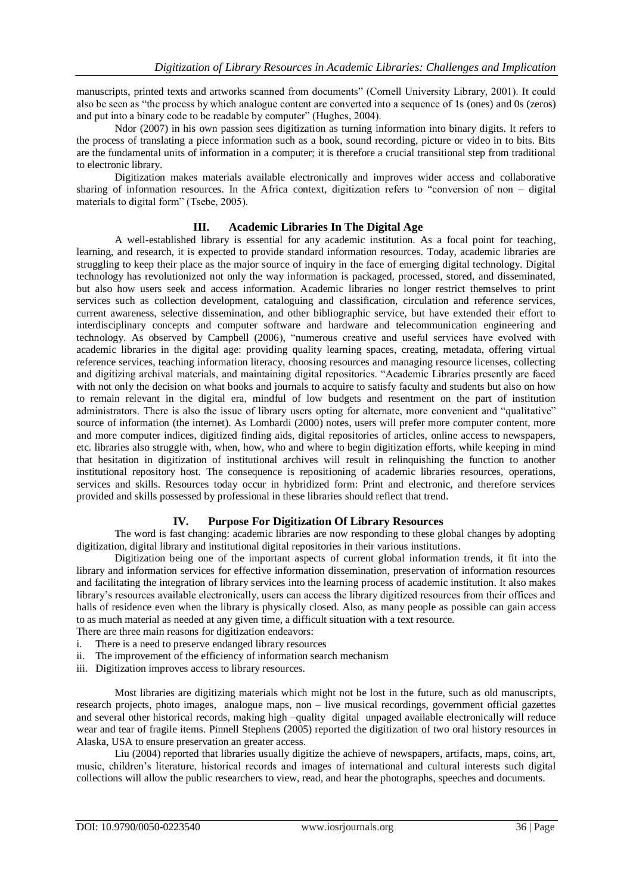manuscripts, printed texts and artworks scanned from documents" (Cornell University Library, 2001). It could also be seen as "the process by which analogue content are converted into a sequence of 1s (ones) and 0s (zeros) and put into a binary code to be readable by computer" (Hughes, 2004).

Ndor (2007) in his own passion sees digitization as turning information into binary digits. It refers to the process of translating a piece information such as a book, sound recording, picture or video in to bits. Bits are the fundamental units of information in a computer; it is therefore a crucial transitional step from traditional to electronic library.

Digitization makes materials available electronically and improves wider access and collaborative sharing of information resources. In the Africa context, digitization refers to "conversion of non – digital materials to digital form" (Tsebe, 2005).

### **III. Academic Libraries In The Digital Age**

A well-established library is essential for any academic institution. As a focal point for teaching, learning, and research, it is expected to provide standard information resources. Today, academic libraries are struggling to keep their place as the major source of inquiry in the face of emerging digital technology. Digital technology has revolutionized not only the way information is packaged, processed, stored, and disseminated, but also how users seek and access information. Academic libraries no longer restrict themselves to print services such as collection development, cataloguing and classification, circulation and reference services, current awareness, selective dissemination, and other bibliographic service, but have extended their effort to interdisciplinary concepts and computer software and hardware and telecommunication engineering and technology. As observed by Campbell (2006), "numerous creative and useful services have evolved with academic libraries in the digital age: providing quality learning spaces, creating, metadata, offering virtual reference services, teaching information literacy, choosing resources and managing resource licenses, collecting and digitizing archival materials, and maintaining digital repositories. "Academic Libraries presently are faced with not only the decision on what books and journals to acquire to satisfy faculty and students but also on how to remain relevant in the digital era, mindful of low budgets and resentment on the part of institution administrators. There is also the issue of library users opting for alternate, more convenient and "qualitative" source of information (the internet). As Lombardi (2000) notes, users will prefer more computer content, more and more computer indices, digitized finding aids, digital repositories of articles, online access to newspapers, etc. libraries also struggle with, when, how, who and where to begin digitization efforts, while keeping in mind that hesitation in digitization of institutional archives will result in relinquishing the function to another institutional repository host. The consequence is repositioning of academic libraries resources, operations, services and skills. Resources today occur in hybridized form: Print and electronic, and therefore services provided and skills possessed by professional in these libraries should reflect that trend.

### **IV. Purpose For Digitization Of Library Resources**

The word is fast changing: academic libraries are now responding to these global changes by adopting digitization, digital library and institutional digital repositories in their various institutions.

Digitization being one of the important aspects of current global information trends, it fit into the library and information services for effective information dissemination, preservation of information resources and facilitating the integration of library services into the learning process of academic institution. It also makes library"s resources available electronically, users can access the library digitized resources from their offices and halls of residence even when the library is physically closed. Also, as many people as possible can gain access to as much material as needed at any given time, a difficult situation with a text resource. There are three main reasons for digitization endeavors:

- i. There is a need to preserve endanged library resources
- ii. The improvement of the efficiency of information search mechanism
- iii. Digitization improves access to library resources.

Most libraries are digitizing materials which might not be lost in the future, such as old manuscripts, research projects, photo images, analogue maps, non – live musical recordings, government official gazettes and several other historical records, making high –quality digital unpaged available electronically will reduce wear and tear of fragile items. Pinnell Stephens (2005) reported the digitization of two oral history resources in Alaska, USA to ensure preservation an greater access.

Liu (2004) reported that libraries usually digitize the achieve of newspapers, artifacts, maps, coins, art, music, children"s literature, historical records and images of international and cultural interests such digital collections will allow the public researchers to view, read, and hear the photographs, speeches and documents.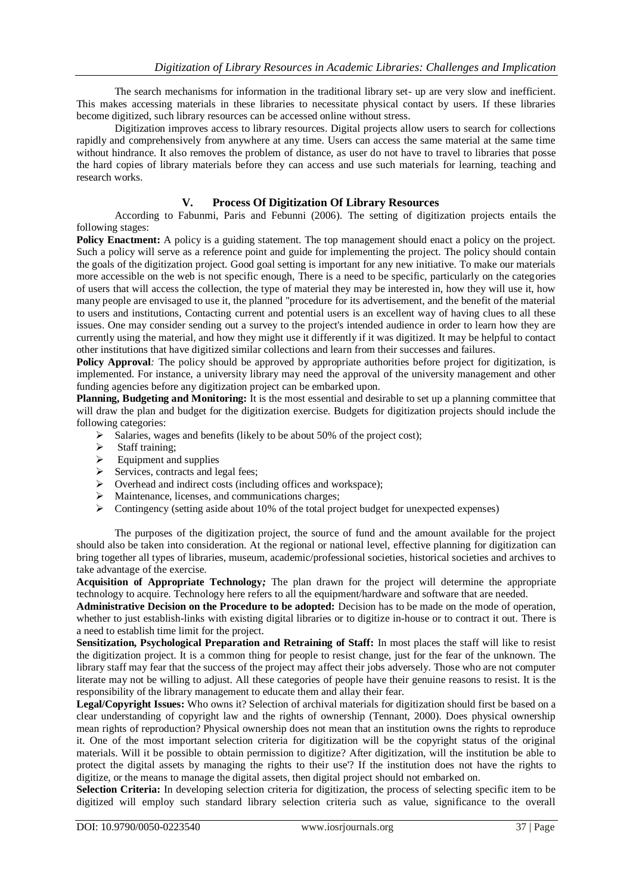The search mechanisms for information in the traditional library set- up are very slow and inefficient. This makes accessing materials in these libraries to necessitate physical contact by users. If these libraries become digitized, such library resources can be accessed online without stress.

Digitization improves access to library resources. Digital projects allow users to search for collections rapidly and comprehensively from anywhere at any time. Users can access the same material at the same time without hindrance. It also removes the problem of distance, as user do not have to travel to libraries that posse the hard copies of library materials before they can access and use such materials for learning, teaching and research works.

## **V. Process Of Digitization Of Library Resources**

According to Fabunmi, Paris and Febunni (2006). The setting of digitization projects entails the following stages:

**Policy Enactment:** A policy is a guiding statement. The top management should enact a policy on the project. Such a policy will serve as a reference point and guide for implementing the project. The policy should contain the goals of the digitization project. Good goal setting is important for any new initiative. To make our materials more accessible on the web is not specific enough, There is a need to be specific, particularly on the categories of users that will access the collection, the type of material they may be interested in, how they will use it, how many people are envisaged to use it, the planned "procedure for its advertisement, and the benefit of the material to users and institutions, Contacting current and potential users is an excellent way of having clues to all these issues. One may consider sending out a survey to the project's intended audience in order to learn how they are currently using the material, and how they might use it differently if it was digitized. It may be helpful to contact other institutions that have digitized similar collections and learn from their successes and failures.

**Policy Approval***:* The policy should be approved by appropriate authorities before project for digitization, is implemented. For instance, a university library may need the approval of the university management and other funding agencies before any digitization project can be embarked upon.

**Planning, Budgeting and Monitoring:** It is the most essential and desirable to set up a planning committee that will draw the plan and budget for the digitization exercise. Budgets for digitization projects should include the following categories:

- $\triangleright$  Salaries, wages and benefits (likely to be about 50% of the project cost);<br> $\triangleright$  Staff training:
- $\geq$  Staff training;<br> $\geq$  Equipment and
- $\geq$  Equipment and supplies<br> $\geq$  Services, contracts and le
- Services, contracts and legal fees;
- $\triangleright$  Overhead and indirect costs (including offices and workspace);
- $\triangleright$  Maintenance, licenses, and communications charges;<br> $\triangleright$  Contingency (setting aside about 10% of the total pro
- Contingency (setting aside about 10% of the total project budget for unexpected expenses)

The purposes of the digitization project, the source of fund and the amount available for the project should also be taken into consideration. At the regional or national level, effective planning for digitization can bring together all types of libraries, museum, academic/professional societies, historical societies and archives to take advantage of the exercise.

**Acquisition of Appropriate Technology***;* The plan drawn for the project will determine the appropriate technology to acquire. Technology here refers to all the equipment/hardware and software that are needed.

**Administrative Decision on the Procedure to be adopted:** Decision has to be made on the mode of operation, whether to just establish-links with existing digital libraries or to digitize in-house or to contract it out. There is a need to establish time limit for the project.

**Sensitization, Psychological Preparation and Retraining of Staff:** In most places the staff will like to resist the digitization project. It is a common thing for people to resist change, just for the fear of the unknown. The library staff may fear that the success of the project may affect their jobs adversely. Those who are not computer literate may not be willing to adjust. All these categories of people have their genuine reasons to resist. It is the responsibility of the library management to educate them and allay their fear.

**Legal/Copyright Issues:** Who owns it? Selection of archival materials for digitization should first be based on a clear understanding of copyright law and the rights of ownership (Tennant, 2000). Does physical ownership mean rights of reproduction? Physical ownership does not mean that an institution owns the rights to reproduce it. One of the most important selection criteria for digitization will be the copyright status of the original materials. Will it be possible to obtain permission to digitize? After digitization, will the institution be able to protect the digital assets by managing the rights to their use'? If the institution does not have the rights to digitize, or the means to manage the digital assets, then digital project should not embarked on.

**Selection Criteria:** In developing selection criteria for digitization, the process of selecting specific item to be digitized will employ such standard library selection criteria such as value, significance to the overall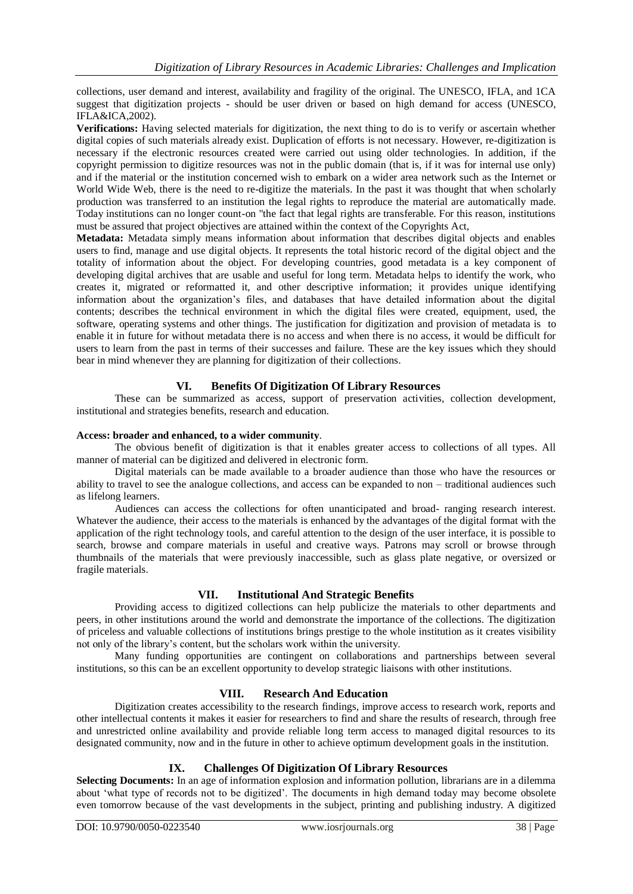collections, user demand and interest, availability and fragility of the original. The UNESCO, IFLA, and 1CA suggest that digitization projects - should be user driven or based on high demand for access (UNESCO, IFLA&ICA,2002).

**Verifications:** Having selected materials for digitization, the next thing to do is to verify or ascertain whether digital copies of such materials already exist. Duplication of efforts is not necessary. However, re-digitization is necessary if the electronic resources created were carried out using older technologies. In addition, if the copyright permission to digitize resources was not in the public domain (that is, if it was for internal use only) and if the material or the institution concerned wish to embark on a wider area network such as the Internet or World Wide Web, there is the need to re-digitize the materials. In the past it was thought that when scholarly production was transferred to an institution the legal rights to reproduce the material are automatically made. Today institutions can no longer count-on "the fact that legal rights are transferable. For this reason, institutions must be assured that project objectives are attained within the context of the Copyrights Act,

**Metadata:** Metadata simply means information about information that describes digital objects and enables users to find, manage and use digital objects. It represents the total historic record of the digital object and the totality of information about the object. For developing countries, good metadata is a key component of developing digital archives that are usable and useful for long term. Metadata helps to identify the work, who creates it, migrated or reformatted it, and other descriptive information; it provides unique identifying information about the organization"s files, and databases that have detailed information about the digital contents; describes the technical environment in which the digital files were created, equipment, used, the software, operating systems and other things. The justification for digitization and provision of metadata is to enable it in future for without metadata there is no access and when there is no access, it would be difficult for users to learn from the past in terms of their successes and failure. These are the key issues which they should bear in mind whenever they are planning for digitization of their collections.

## **VI. Benefits Of Digitization Of Library Resources**

These can be summarized as access, support of preservation activities, collection development, institutional and strategies benefits, research and education.

#### **Access: broader and enhanced, to a wider community**.

The obvious benefit of digitization is that it enables greater access to collections of all types. All manner of material can be digitized and delivered in electronic form.

Digital materials can be made available to a broader audience than those who have the resources or ability to travel to see the analogue collections, and access can be expanded to non – traditional audiences such as lifelong learners.

Audiences can access the collections for often unanticipated and broad- ranging research interest. Whatever the audience, their access to the materials is enhanced by the advantages of the digital format with the application of the right technology tools, and careful attention to the design of the user interface, it is possible to search, browse and compare materials in useful and creative ways. Patrons may scroll or browse through thumbnails of the materials that were previously inaccessible, such as glass plate negative, or oversized or fragile materials.

### **VII. Institutional And Strategic Benefits**

Providing access to digitized collections can help publicize the materials to other departments and peers, in other institutions around the world and demonstrate the importance of the collections. The digitization of priceless and valuable collections of institutions brings prestige to the whole institution as it creates visibility not only of the library"s content, but the scholars work within the university.

Many funding opportunities are contingent on collaborations and partnerships between several institutions, so this can be an excellent opportunity to develop strategic liaisons with other institutions.

### **VIII. Research And Education**

Digitization creates accessibility to the research findings, improve access to research work, reports and other intellectual contents it makes it easier for researchers to find and share the results of research, through free and unrestricted online availability and provide reliable long term access to managed digital resources to its designated community, now and in the future in other to achieve optimum development goals in the institution.

### **IX. Challenges Of Digitization Of Library Resources**

**Selecting Documents:** In an age of information explosion and information pollution, librarians are in a dilemma about "what type of records not to be digitized". The documents in high demand today may become obsolete even tomorrow because of the vast developments in the subject, printing and publishing industry. A digitized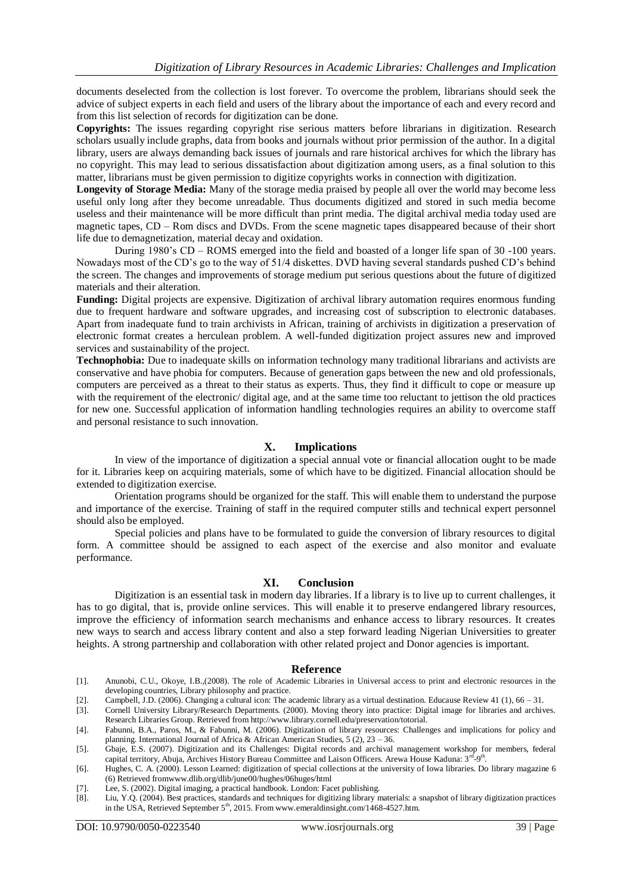documents deselected from the collection is lost forever. To overcome the problem, librarians should seek the advice of subject experts in each field and users of the library about the importance of each and every record and from this list selection of records for digitization can be done.

**Copyrights:** The issues regarding copyright rise serious matters before librarians in digitization. Research scholars usually include graphs, data from books and journals without prior permission of the author. In a digital library, users are always demanding back issues of journals and rare historical archives for which the library has no copyright. This may lead to serious dissatisfaction about digitization among users, as a final solution to this matter, librarians must be given permission to digitize copyrights works in connection with digitization.

**Longevity of Storage Media:** Many of the storage media praised by people all over the world may become less useful only long after they become unreadable. Thus documents digitized and stored in such media become useless and their maintenance will be more difficult than print media. The digital archival media today used are magnetic tapes, CD – Rom discs and DVDs. From the scene magnetic tapes disappeared because of their short life due to demagnetization, material decay and oxidation.

During 1980"s CD – ROMS emerged into the field and boasted of a longer life span of 30 -100 years. Nowadays most of the CD"s go to the way of 51/4 diskettes. DVD having several standards pushed CD"s behind the screen. The changes and improvements of storage medium put serious questions about the future of digitized materials and their alteration.

**Funding:** Digital projects are expensive. Digitization of archival library automation requires enormous funding due to frequent hardware and software upgrades, and increasing cost of subscription to electronic databases. Apart from inadequate fund to train archivists in African, training of archivists in digitization a preservation of electronic format creates a herculean problem. A well-funded digitization project assures new and improved services and sustainability of the project.

**Technophobia:** Due to inadequate skills on information technology many traditional librarians and activists are conservative and have phobia for computers. Because of generation gaps between the new and old professionals, computers are perceived as a threat to their status as experts. Thus, they find it difficult to cope or measure up with the requirement of the electronic/ digital age, and at the same time too reluctant to jettison the old practices for new one. Successful application of information handling technologies requires an ability to overcome staff and personal resistance to such innovation.

#### **X. Implications**

In view of the importance of digitization a special annual vote or financial allocation ought to be made for it. Libraries keep on acquiring materials, some of which have to be digitized. Financial allocation should be extended to digitization exercise.

Orientation programs should be organized for the staff. This will enable them to understand the purpose and importance of the exercise. Training of staff in the required computer stills and technical expert personnel should also be employed.

Special policies and plans have to be formulated to guide the conversion of library resources to digital form. A committee should be assigned to each aspect of the exercise and also monitor and evaluate performance.

#### **XI. Conclusion**

Digitization is an essential task in modern day libraries. If a library is to live up to current challenges, it has to go digital, that is, provide online services. This will enable it to preserve endangered library resources, improve the efficiency of information search mechanisms and enhance access to library resources. It creates new ways to search and access library content and also a step forward leading Nigerian Universities to greater heights. A strong partnership and collaboration with other related project and Donor agencies is important.

#### **Reference**

- [1]. Anunobi, C.U., Okoye, I.B.,(2008). The role of Academic Libraries in Universal access to print and electronic resources in the developing countries, Library philosophy and practice.
- [2]. Campbell, J.D. (2006). Changing a cultural icon: The academic library as a virtual destination. Educause Review 41 (1), 66 31.
- [3]. Cornell University Library/Research Departments. (2000). Moving theory into practice: Digital image for libraries and archives. Research Libraries Group. Retrieved from http://www.library.cornell.edu/preservation/totorial.

[4]. Fabunni, B.A., Paros, M., & Fabunni, M. (2006). Digitization of library resources: Challenges and implications for policy and planning. International Journal of Africa & African American Studies,  $5(2)$ ,  $23 - 36$ .

[7]. Lee, S. (2002). Digital imaging, a practical handbook. London: Facet publishing.

[8]. Liu, Y.Q. (2004). Best practices, standards and techniques for digitizing library materials: a snapshot of library digitization practices in the USA, Retrieved September 5<sup>th</sup>, 2015. From www.emeraldinsight.com/1468-4527.htm.

<sup>[5].</sup> Gbaje, E.S. (2007). Digitization and its Challenges: Digital records and archival management workshop for members, federal capital territory, Abuja, Archives History Bureau Committee and Laison Officers. Arewa House Kaduna: 3<sup>rd</sup>-9<sup>th</sup>.

<sup>[6].</sup> Hughes, C. A. (2000). Lesson Learned: digitization of special collections at the university of Iowa libraries. Do library magazine 6 (6) Retrieved fromwww.dlib.org/dlib/june00/hughes/06huges/html